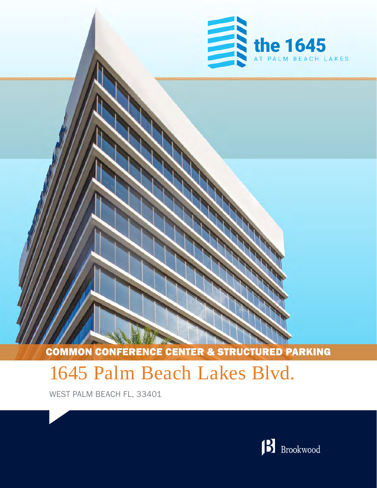

COMMON CONFERENCE CENTER & STRUCTURED PARKING

# 1645 Palm Beach Lakes Blvd.

WEST PALM BEACH FL, 33401

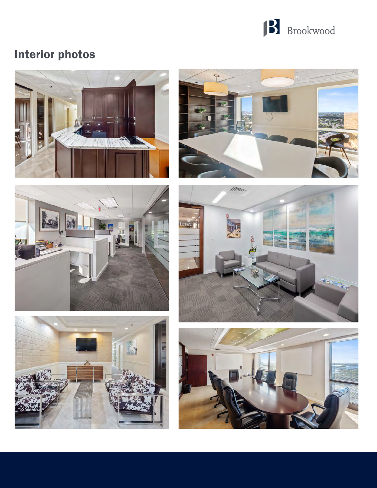

## Interior photos











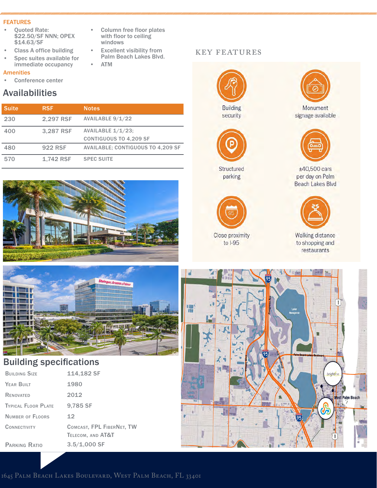#### FEATURES

- Quoted Rate: \$22.50/SF NNN; OPEX \$14.63/SF
- Class A office building
- Spec suites available for immediate occupancy

## Amenities

Conference center

## Availabilities

| <b>Suite</b> | <b>RSF</b>     | <b>Notes</b>                                          |
|--------------|----------------|-------------------------------------------------------|
| 230          | 2,297 RSF      | AVAILABLE 9/1/22                                      |
| 400          | 3.287 RSF      | AVAILABLE $1/1/23$ ;<br><b>CONTIGUOUS TO 4,209 SF</b> |
|              |                |                                                       |
| 480          | <b>922 RSF</b> | <b>AVAILABLE: CONTIGUOUS TO 4,209 SF</b>              |
| 570          | 1,742 RSF      | <b>SPEC SUITE</b>                                     |





## Building specifications

| <b>BUILDING SIZE</b>    | 114,182 SF                                     |
|-------------------------|------------------------------------------------|
| YEAR BUILT              | 1980                                           |
| RENOVATED               | 2012                                           |
| TYPICAL FLOOR PLATE     | 9,785 SF                                       |
| <b>NUMBER OF FLOORS</b> | 12                                             |
| CONNECTIVITY            | COMCAST, FPL FIBERNET, TW<br>TELECOM, AND AT&T |
| PARKING RATIO           | $3.5/1,000$ SF                                 |
|                         |                                                |

- Column free floor plates with floor to ceiling windows
- **Excellent visibility from** Palm Beach Lakes Blvd.
- ATM

## key features





Structured parking



Close proximity to  $I-95$ 



Monument signage available



±40,500 cars per day on Palm Beach Lakes Blvd



Walking distance<br>to shopping and restaurants



1645 Palm Beach Lakes Boulevard, West Palm Beach, FL 33401